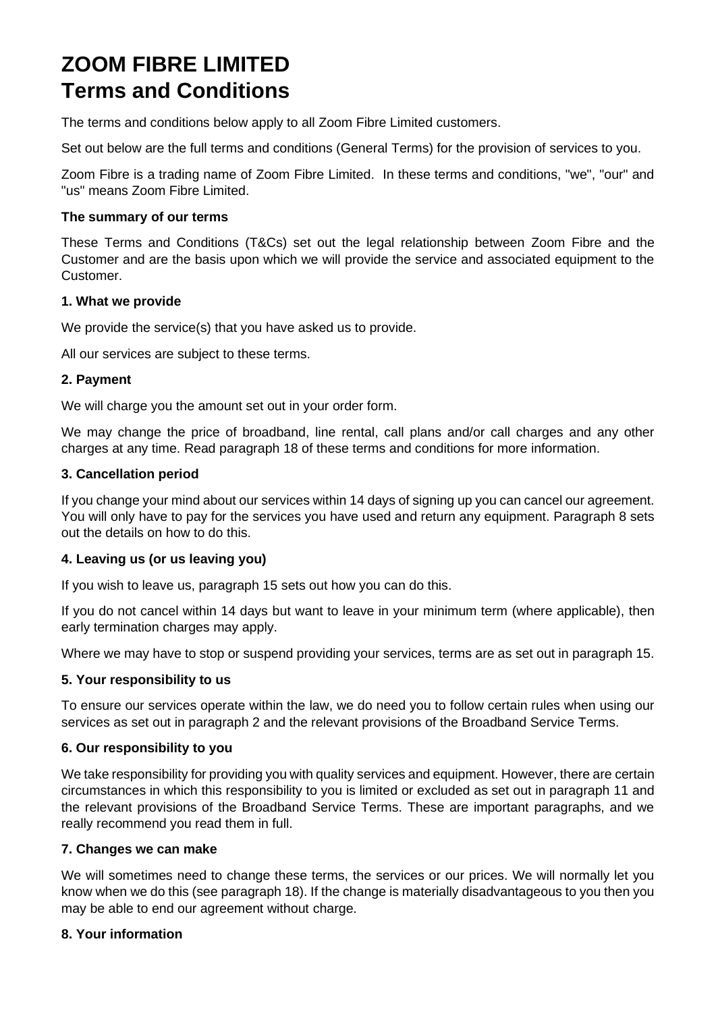# **ZOOM FIBRE LIMITED Terms and Conditions**

The terms and conditions below apply to all Zoom Fibre Limited customers.

Set out below are the full terms and conditions (General Terms) for the provision of services to you.

Zoom Fibre is a trading name of Zoom Fibre Limited. In these terms and conditions, "we", "our" and "us" means Zoom Fibre Limited.

#### **The summary of our terms**

These Terms and Conditions (T&Cs) set out the legal relationship between Zoom Fibre and the Customer and are the basis upon which we will provide the service and associated equipment to the Customer.

#### **1. What we provide**

We provide the service(s) that you have asked us to provide.

All our services are subject to these terms.

#### **2. Payment**

We will charge you the amount set out in your order form.

We may change the price of broadband, line rental, call plans and/or call charges and any other charges at any time. Read paragraph 18 of these terms and conditions for more information.

#### **3. Cancellation period**

If you change your mind about our services within 14 days of signing up you can cancel our agreement. You will only have to pay for the services you have used and return any equipment. Paragraph 8 sets out the details on how to do this.

## **4. Leaving us (or us leaving you)**

If you wish to leave us, paragraph 15 sets out how you can do this.

If you do not cancel within 14 days but want to leave in your minimum term (where applicable), then early termination charges may apply.

Where we may have to stop or suspend providing your services, terms are as set out in paragraph 15.

## **5. Your responsibility to us**

To ensure our services operate within the law, we do need you to follow certain rules when using our services as set out in paragraph 2 and the relevant provisions of the Broadband Service Terms.

## **6. Our responsibility to you**

We take responsibility for providing you with quality services and equipment. However, there are certain circumstances in which this responsibility to you is limited or excluded as set out in paragraph 11 and the relevant provisions of the Broadband Service Terms. These are important paragraphs, and we really recommend you read them in full.

#### **7. Changes we can make**

We will sometimes need to change these terms, the services or our prices. We will normally let you know when we do this (see paragraph 18). If the change is materially disadvantageous to you then you may be able to end our agreement without charge.

## **8. Your information**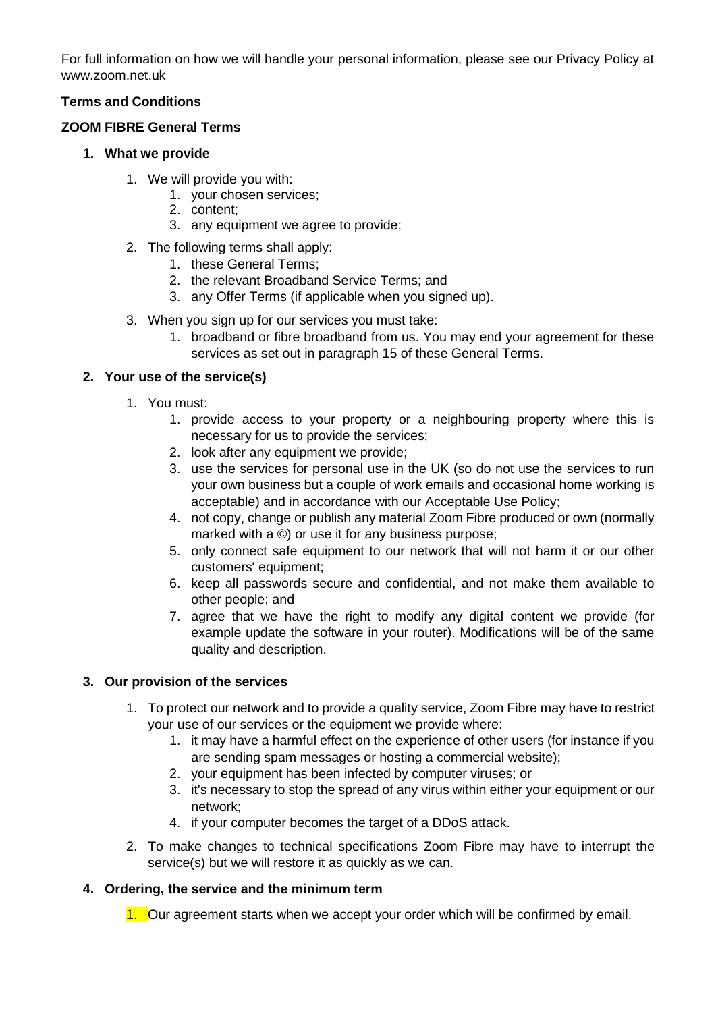For full information on how we will handle your personal information, please see our Privacy Policy at www.zoom.net.uk

## **Terms and Conditions**

#### **ZOOM FIBRE General Terms**

- **1. What we provide**
	- 1. We will provide you with:
		- 1. your chosen services;
		- 2. content;
		- 3. any equipment we agree to provide;
	- 2. The following terms shall apply:
		- 1. these General Terms;
		- 2. the relevant Broadband Service Terms; and
		- 3. any Offer Terms (if applicable when you signed up).
	- 3. When you sign up for our services you must take:
		- 1. broadband or fibre broadband from us. You may end your agreement for these services as set out in paragraph 15 of these General Terms.

#### **2. Your use of the service(s)**

- 1. You must:
	- 1. provide access to your property or a neighbouring property where this is necessary for us to provide the services;
	- 2. look after any equipment we provide;
	- 3. use the services for personal use in the UK (so do not use the services to run your own business but a couple of work emails and occasional home working is acceptable) and in accordance with our Acceptable Use Policy;
	- 4. not copy, change or publish any material Zoom Fibre produced or own (normally marked with a ©) or use it for any business purpose;
	- 5. only connect safe equipment to our network that will not harm it or our other customers' equipment;
	- 6. keep all passwords secure and confidential, and not make them available to other people; and
	- 7. agree that we have the right to modify any digital content we provide (for example update the software in your router). Modifications will be of the same quality and description.

## **3. Our provision of the services**

- 1. To protect our network and to provide a quality service, Zoom Fibre may have to restrict your use of our services or the equipment we provide where:
	- 1. it may have a harmful effect on the experience of other users (for instance if you are sending spam messages or hosting a commercial website);
	- 2. your equipment has been infected by computer viruses; or
	- 3. it's necessary to stop the spread of any virus within either your equipment or our network;
	- 4. if your computer becomes the target of a DDoS attack.
- 2. To make changes to technical specifications Zoom Fibre may have to interrupt the service(s) but we will restore it as quickly as we can.

## **4. Ordering, the service and the minimum term**

1. Our agreement starts when we accept your order which will be confirmed by email.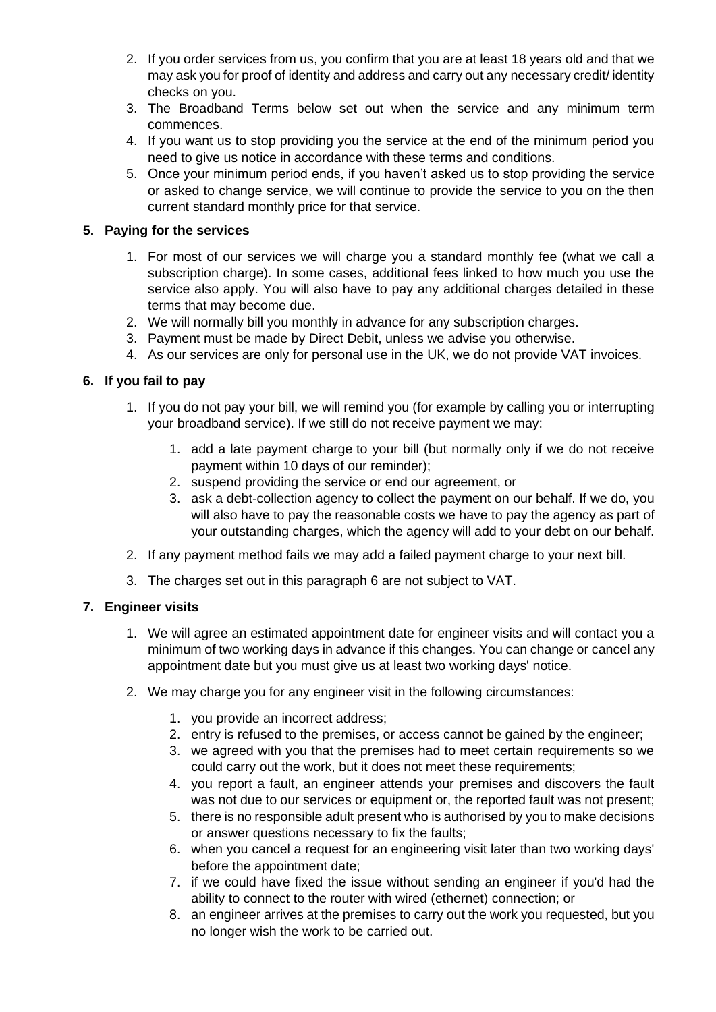- 2. If you order services from us, you confirm that you are at least 18 years old and that we may ask you for proof of identity and address and carry out any necessary credit/ identity checks on you.
- 3. The Broadband Terms below set out when the service and any minimum term commences.
- 4. If you want us to stop providing you the service at the end of the minimum period you need to give us notice in accordance with these terms and conditions.
- 5. Once your minimum period ends, if you haven't asked us to stop providing the service or asked to change service, we will continue to provide the service to you on the then current standard monthly price for that service.

## **5. Paying for the services**

- 1. For most of our services we will charge you a standard monthly fee (what we call a subscription charge). In some cases, additional fees linked to how much you use the service also apply. You will also have to pay any additional charges detailed in these terms that may become due.
- 2. We will normally bill you monthly in advance for any subscription charges.
- 3. Payment must be made by Direct Debit, unless we advise you otherwise.
- 4. As our services are only for personal use in the UK, we do not provide VAT invoices.

#### **6. If you fail to pay**

- 1. If you do not pay your bill, we will remind you (for example by calling you or interrupting your broadband service). If we still do not receive payment we may:
	- 1. add a late payment charge to your bill (but normally only if we do not receive payment within 10 days of our reminder);
	- 2. suspend providing the service or end our agreement, or
	- 3. ask a debt-collection agency to collect the payment on our behalf. If we do, you will also have to pay the reasonable costs we have to pay the agency as part of your outstanding charges, which the agency will add to your debt on our behalf.
- 2. If any payment method fails we may add a failed payment charge to your next bill.
- 3. The charges set out in this paragraph 6 are not subject to VAT.

## **7. Engineer visits**

- 1. We will agree an estimated appointment date for engineer visits and will contact you a minimum of two working days in advance if this changes. You can change or cancel any appointment date but you must give us at least two working days' notice.
- 2. We may charge you for any engineer visit in the following circumstances:
	- 1. you provide an incorrect address;
	- 2. entry is refused to the premises, or access cannot be gained by the engineer;
	- 3. we agreed with you that the premises had to meet certain requirements so we could carry out the work, but it does not meet these requirements;
	- 4. you report a fault, an engineer attends your premises and discovers the fault was not due to our services or equipment or, the reported fault was not present;
	- 5. there is no responsible adult present who is authorised by you to make decisions or answer questions necessary to fix the faults;
	- 6. when you cancel a request for an engineering visit later than two working days' before the appointment date;
	- 7. if we could have fixed the issue without sending an engineer if you'd had the ability to connect to the router with wired (ethernet) connection; or
	- 8. an engineer arrives at the premises to carry out the work you requested, but you no longer wish the work to be carried out.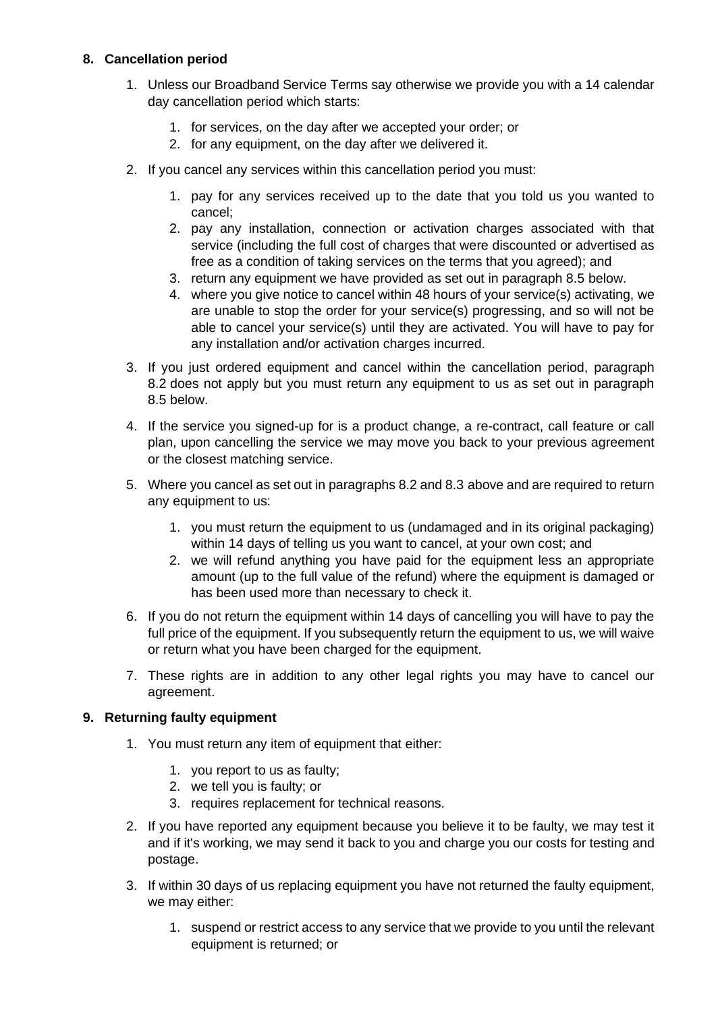## **8. Cancellation period**

- 1. Unless our Broadband Service Terms say otherwise we provide you with a 14 calendar day cancellation period which starts:
	- 1. for services, on the day after we accepted your order; or
	- 2. for any equipment, on the day after we delivered it.
- 2. If you cancel any services within this cancellation period you must:
	- 1. pay for any services received up to the date that you told us you wanted to cancel;
	- 2. pay any installation, connection or activation charges associated with that service (including the full cost of charges that were discounted or advertised as free as a condition of taking services on the terms that you agreed); and
	- 3. return any equipment we have provided as set out in paragraph 8.5 below.
	- 4. where you give notice to cancel within 48 hours of your service(s) activating, we are unable to stop the order for your service(s) progressing, and so will not be able to cancel your service(s) until they are activated. You will have to pay for any installation and/or activation charges incurred.
- 3. If you just ordered equipment and cancel within the cancellation period, paragraph 8.2 does not apply but you must return any equipment to us as set out in paragraph 8.5 below.
- 4. If the service you signed-up for is a product change, a re-contract, call feature or call plan, upon cancelling the service we may move you back to your previous agreement or the closest matching service.
- 5. Where you cancel as set out in paragraphs 8.2 and 8.3 above and are required to return any equipment to us:
	- 1. you must return the equipment to us (undamaged and in its original packaging) within 14 days of telling us you want to cancel, at your own cost; and
	- 2. we will refund anything you have paid for the equipment less an appropriate amount (up to the full value of the refund) where the equipment is damaged or has been used more than necessary to check it.
- 6. If you do not return the equipment within 14 days of cancelling you will have to pay the full price of the equipment. If you subsequently return the equipment to us, we will waive or return what you have been charged for the equipment.
- 7. These rights are in addition to any other legal rights you may have to cancel our agreement.

## **9. Returning faulty equipment**

- 1. You must return any item of equipment that either:
	- 1. you report to us as faulty;
	- 2. we tell you is faulty; or
	- 3. requires replacement for technical reasons.
- 2. If you have reported any equipment because you believe it to be faulty, we may test it and if it's working, we may send it back to you and charge you our costs for testing and postage.
- 3. If within 30 days of us replacing equipment you have not returned the faulty equipment, we may either:
	- 1. suspend or restrict access to any service that we provide to you until the relevant equipment is returned; or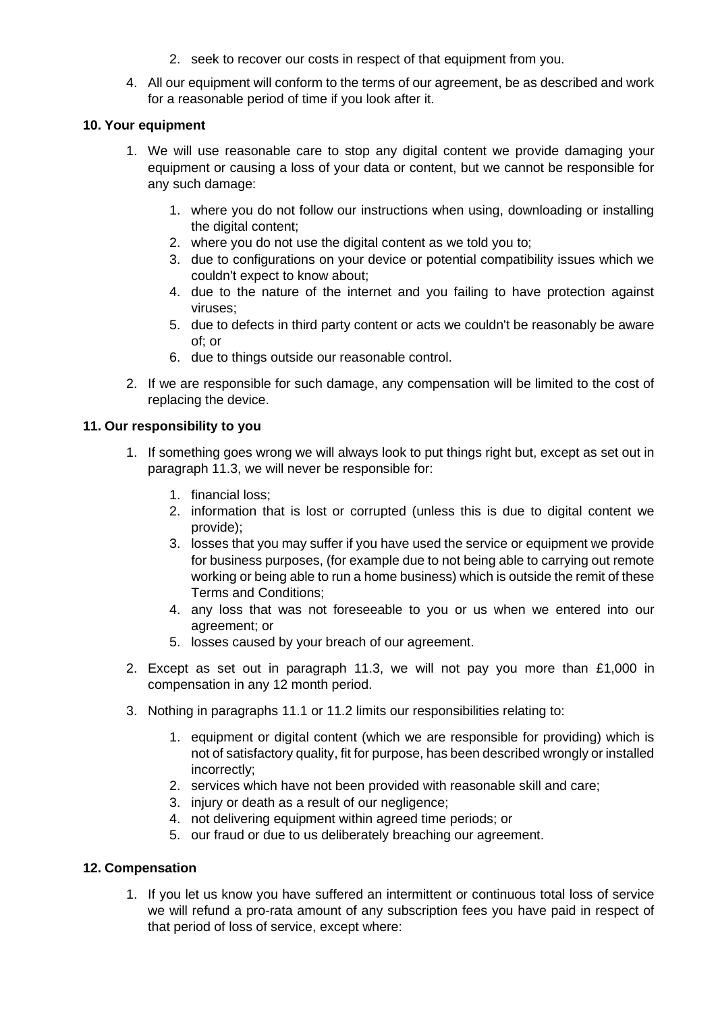- 2. seek to recover our costs in respect of that equipment from you.
- 4. All our equipment will conform to the terms of our agreement, be as described and work for a reasonable period of time if you look after it.

#### **10. Your equipment**

- 1. We will use reasonable care to stop any digital content we provide damaging your equipment or causing a loss of your data or content, but we cannot be responsible for any such damage:
	- 1. where you do not follow our instructions when using, downloading or installing the digital content:
	- 2. where you do not use the digital content as we told you to;
	- 3. due to configurations on your device or potential compatibility issues which we couldn't expect to know about;
	- 4. due to the nature of the internet and you failing to have protection against viruses;
	- 5. due to defects in third party content or acts we couldn't be reasonably be aware of; or
	- 6. due to things outside our reasonable control.
- 2. If we are responsible for such damage, any compensation will be limited to the cost of replacing the device.

#### **11. Our responsibility to you**

- 1. If something goes wrong we will always look to put things right but, except as set out in paragraph 11.3, we will never be responsible for:
	- 1. financial loss;
	- 2. information that is lost or corrupted (unless this is due to digital content we provide);
	- 3. losses that you may suffer if you have used the service or equipment we provide for business purposes, (for example due to not being able to carrying out remote working or being able to run a home business) which is outside the remit of these Terms and Conditions;
	- 4. any loss that was not foreseeable to you or us when we entered into our agreement; or
	- 5. losses caused by your breach of our agreement.
- 2. Except as set out in paragraph 11.3, we will not pay you more than £1,000 in compensation in any 12 month period.
- 3. Nothing in paragraphs 11.1 or 11.2 limits our responsibilities relating to:
	- 1. equipment or digital content (which we are responsible for providing) which is not of satisfactory quality, fit for purpose, has been described wrongly or installed incorrectly;
	- 2. services which have not been provided with reasonable skill and care;
	- 3. injury or death as a result of our negligence;
	- 4. not delivering equipment within agreed time periods; or
	- 5. our fraud or due to us deliberately breaching our agreement.

## **12. Compensation**

1. If you let us know you have suffered an intermittent or continuous total loss of service we will refund a pro-rata amount of any subscription fees you have paid in respect of that period of loss of service, except where: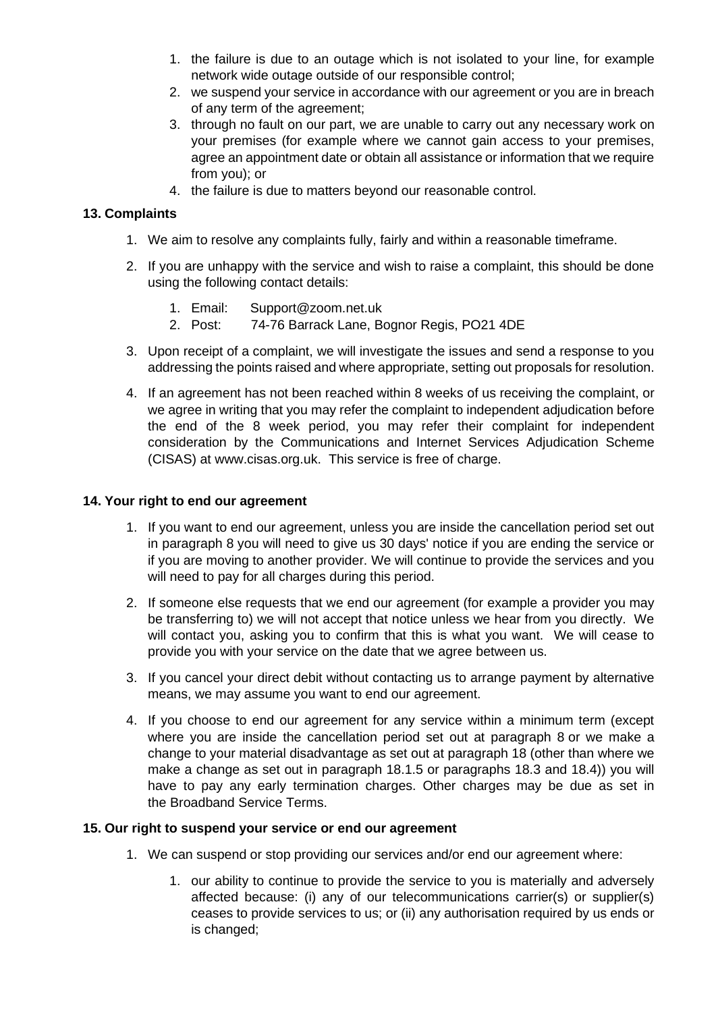- 1. the failure is due to an outage which is not isolated to your line, for example network wide outage outside of our responsible control;
- 2. we suspend your service in accordance with our agreement or you are in breach of any term of the agreement;
- 3. through no fault on our part, we are unable to carry out any necessary work on your premises (for example where we cannot gain access to your premises, agree an appointment date or obtain all assistance or information that we require from you); or
- 4. the failure is due to matters beyond our reasonable control.

## **13. Complaints**

- 1. We aim to resolve any complaints fully, fairly and within a reasonable timeframe.
- 2. If you are unhappy with the service and wish to raise a complaint, this should be done using the following contact details:
	- 1. Email: Support@zoom.net.uk
	- 2. Post: 74-76 Barrack Lane, Bognor Regis, PO21 4DE
- 3. Upon receipt of a complaint, we will investigate the issues and send a response to you addressing the points raised and where appropriate, setting out proposals for resolution.
- 4. If an agreement has not been reached within 8 weeks of us receiving the complaint, or we agree in writing that you may refer the complaint to independent adjudication before the end of the 8 week period, you may refer their complaint for independent consideration by the Communications and Internet Services Adjudication Scheme (CISAS) at www.cisas.org.uk. This service is free of charge.

#### **14. Your right to end our agreement**

- 1. If you want to end our agreement, unless you are inside the cancellation period set out in paragraph 8 you will need to give us 30 days' notice if you are ending the service or if you are moving to another provider. We will continue to provide the services and you will need to pay for all charges during this period.
- 2. If someone else requests that we end our agreement (for example a provider you may be transferring to) we will not accept that notice unless we hear from you directly. We will contact you, asking you to confirm that this is what you want. We will cease to provide you with your service on the date that we agree between us.
- 3. If you cancel your direct debit without contacting us to arrange payment by alternative means, we may assume you want to end our agreement.
- 4. If you choose to end our agreement for any service within a minimum term (except where you are inside the cancellation period set out at paragraph 8 or we make a change to your material disadvantage as set out at paragraph 18 (other than where we make a change as set out in paragraph 18.1.5 or paragraphs 18.3 and 18.4)) you will have to pay any early termination charges. Other charges may be due as set in the Broadband Service Terms.

#### **15. Our right to suspend your service or end our agreement**

- 1. We can suspend or stop providing our services and/or end our agreement where:
	- 1. our ability to continue to provide the service to you is materially and adversely affected because: (i) any of our telecommunications carrier(s) or supplier(s) ceases to provide services to us; or (ii) any authorisation required by us ends or is changed;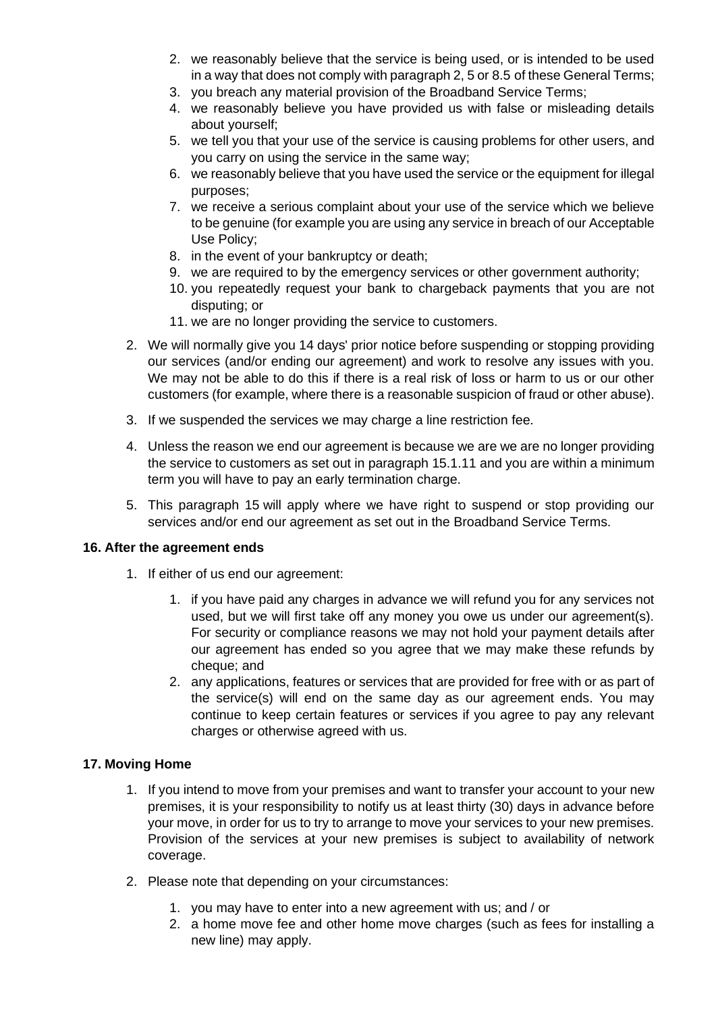- 2. we reasonably believe that the service is being used, or is intended to be used in a way that does not comply with paragraph 2, 5 or 8.5 of these General Terms;
- 3. you breach any material provision of the Broadband Service Terms;
- 4. we reasonably believe you have provided us with false or misleading details about yourself;
- 5. we tell you that your use of the service is causing problems for other users, and you carry on using the service in the same way;
- 6. we reasonably believe that you have used the service or the equipment for illegal purposes;
- 7. we receive a serious complaint about your use of the service which we believe to be genuine (for example you are using any service in breach of our Acceptable Use Policy;
- 8. in the event of your bankruptcy or death;
- 9. we are required to by the emergency services or other government authority;
- 10. you repeatedly request your bank to chargeback payments that you are not disputing; or
- 11. we are no longer providing the service to customers.
- 2. We will normally give you 14 days' prior notice before suspending or stopping providing our services (and/or ending our agreement) and work to resolve any issues with you. We may not be able to do this if there is a real risk of loss or harm to us or our other customers (for example, where there is a reasonable suspicion of fraud or other abuse).
- 3. If we suspended the services we may charge a line restriction fee.
- 4. Unless the reason we end our agreement is because we are we are no longer providing the service to customers as set out in paragraph 15.1.11 and you are within a minimum term you will have to pay an early termination charge.
- 5. This paragraph 15 will apply where we have right to suspend or stop providing our services and/or end our agreement as set out in the Broadband Service Terms.

#### **16. After the agreement ends**

- 1. If either of us end our agreement:
	- 1. if you have paid any charges in advance we will refund you for any services not used, but we will first take off any money you owe us under our agreement(s). For security or compliance reasons we may not hold your payment details after our agreement has ended so you agree that we may make these refunds by cheque; and
	- 2. any applications, features or services that are provided for free with or as part of the service(s) will end on the same day as our agreement ends. You may continue to keep certain features or services if you agree to pay any relevant charges or otherwise agreed with us.

## **17. Moving Home**

- 1. If you intend to move from your premises and want to transfer your account to your new premises, it is your responsibility to notify us at least thirty (30) days in advance before your move, in order for us to try to arrange to move your services to your new premises. Provision of the services at your new premises is subject to availability of network coverage.
- 2. Please note that depending on your circumstances:
	- 1. you may have to enter into a new agreement with us; and / or
	- 2. a home move fee and other home move charges (such as fees for installing a new line) may apply.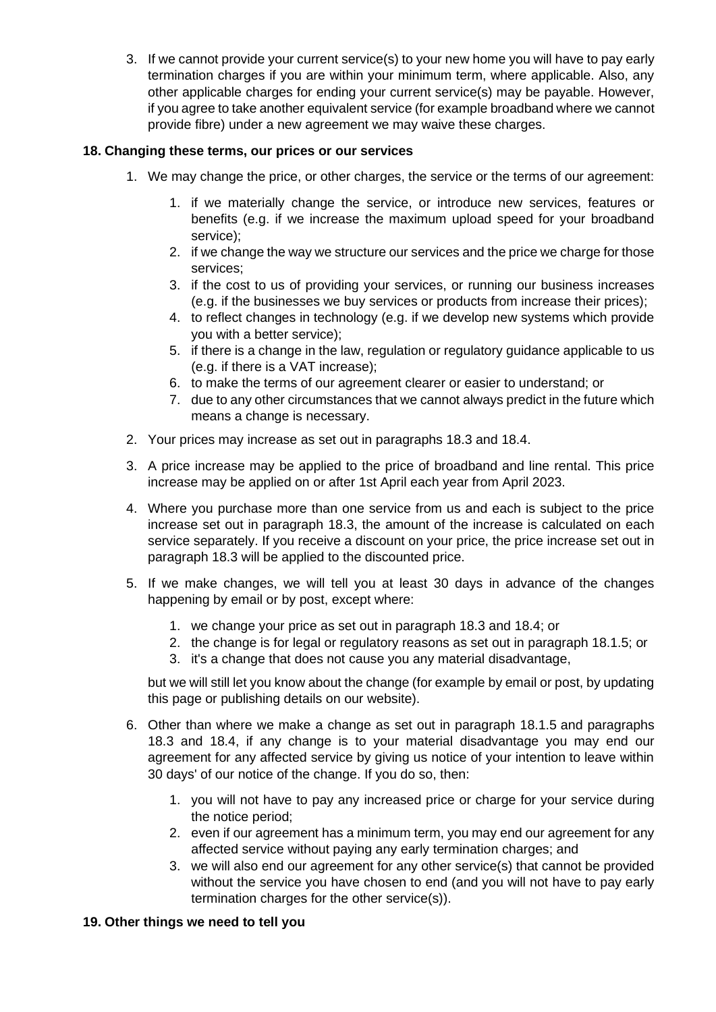3. If we cannot provide your current service(s) to your new home you will have to pay early termination charges if you are within your minimum term, where applicable. Also, any other applicable charges for ending your current service(s) may be payable. However, if you agree to take another equivalent service (for example broadband where we cannot provide fibre) under a new agreement we may waive these charges.

## **18. Changing these terms, our prices or our services**

- 1. We may change the price, or other charges, the service or the terms of our agreement:
	- 1. if we materially change the service, or introduce new services, features or benefits (e.g. if we increase the maximum upload speed for your broadband service);
	- 2. if we change the way we structure our services and the price we charge for those services;
	- 3. if the cost to us of providing your services, or running our business increases (e.g. if the businesses we buy services or products from increase their prices);
	- 4. to reflect changes in technology (e.g. if we develop new systems which provide you with a better service);
	- 5. if there is a change in the law, regulation or regulatory guidance applicable to us (e.g. if there is a VAT increase);
	- 6. to make the terms of our agreement clearer or easier to understand; or
	- 7. due to any other circumstances that we cannot always predict in the future which means a change is necessary.
- 2. Your prices may increase as set out in paragraphs 18.3 and 18.4.
- 3. A price increase may be applied to the price of broadband and line rental. This price increase may be applied on or after 1st April each year from April 2023.
- 4. Where you purchase more than one service from us and each is subject to the price increase set out in paragraph 18.3, the amount of the increase is calculated on each service separately. If you receive a discount on your price, the price increase set out in paragraph 18.3 will be applied to the discounted price.
- 5. If we make changes, we will tell you at least 30 days in advance of the changes happening by email or by post, except where:
	- 1. we change your price as set out in paragraph 18.3 and 18.4; or
	- 2. the change is for legal or regulatory reasons as set out in paragraph 18.1.5; or
	- 3. it's a change that does not cause you any material disadvantage,

but we will still let you know about the change (for example by email or post, by updating this page or publishing details on our website).

- 6. Other than where we make a change as set out in paragraph 18.1.5 and paragraphs 18.3 and 18.4, if any change is to your material disadvantage you may end our agreement for any affected service by giving us notice of your intention to leave within 30 days' of our notice of the change. If you do so, then:
	- 1. you will not have to pay any increased price or charge for your service during the notice period;
	- 2. even if our agreement has a minimum term, you may end our agreement for any affected service without paying any early termination charges; and
	- 3. we will also end our agreement for any other service(s) that cannot be provided without the service you have chosen to end (and you will not have to pay early termination charges for the other service(s)).

#### **19. Other things we need to tell you**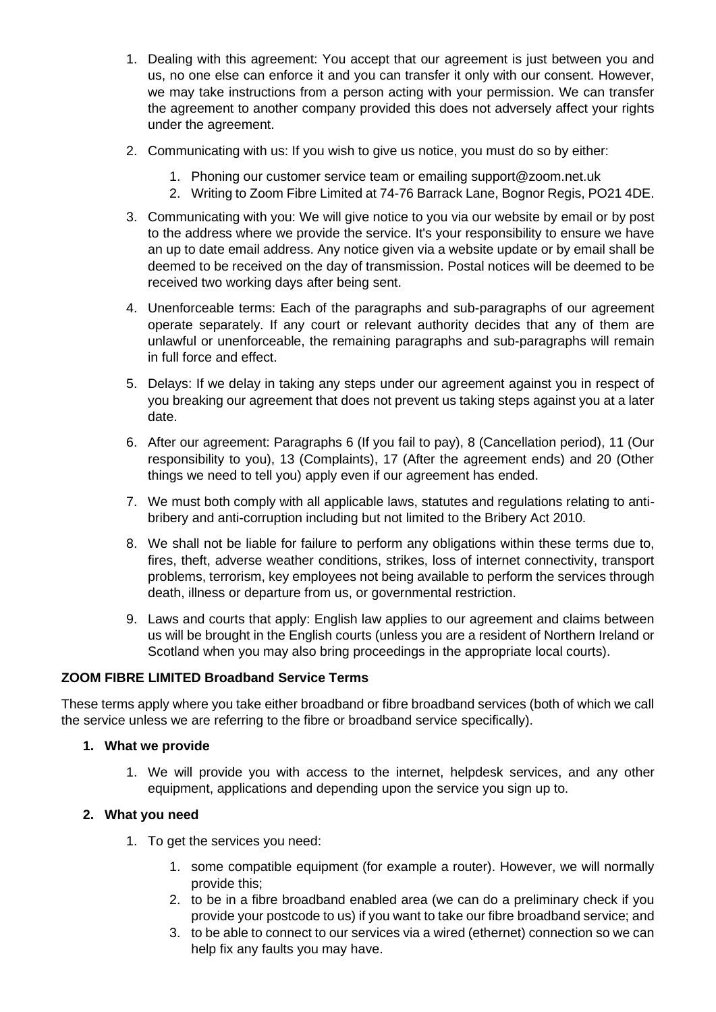- 1. Dealing with this agreement: You accept that our agreement is just between you and us, no one else can enforce it and you can transfer it only with our consent. However, we may take instructions from a person acting with your permission. We can transfer the agreement to another company provided this does not adversely affect your rights under the agreement.
- 2. Communicating with us: If you wish to give us notice, you must do so by either:
	- 1. Phoning our customer service team or emailing support@zoom.net.uk
	- 2. Writing to Zoom Fibre Limited at 74-76 Barrack Lane, Bognor Regis, PO21 4DE.
- 3. Communicating with you: We will give notice to you via our website by email or by post to the address where we provide the service. It's your responsibility to ensure we have an up to date email address. Any notice given via a website update or by email shall be deemed to be received on the day of transmission. Postal notices will be deemed to be received two working days after being sent.
- 4. Unenforceable terms: Each of the paragraphs and sub-paragraphs of our agreement operate separately. If any court or relevant authority decides that any of them are unlawful or unenforceable, the remaining paragraphs and sub-paragraphs will remain in full force and effect.
- 5. Delays: If we delay in taking any steps under our agreement against you in respect of you breaking our agreement that does not prevent us taking steps against you at a later date.
- 6. After our agreement: Paragraphs 6 (If you fail to pay), 8 (Cancellation period), 11 (Our responsibility to you), 13 (Complaints), 17 (After the agreement ends) and 20 (Other things we need to tell you) apply even if our agreement has ended.
- 7. We must both comply with all applicable laws, statutes and regulations relating to antibribery and anti-corruption including but not limited to the Bribery Act 2010.
- 8. We shall not be liable for failure to perform any obligations within these terms due to, fires, theft, adverse weather conditions, strikes, loss of internet connectivity, transport problems, terrorism, key employees not being available to perform the services through death, illness or departure from us, or governmental restriction.
- 9. Laws and courts that apply: English law applies to our agreement and claims between us will be brought in the English courts (unless you are a resident of Northern Ireland or Scotland when you may also bring proceedings in the appropriate local courts).

## **ZOOM FIBRE LIMITED Broadband Service Terms**

These terms apply where you take either broadband or fibre broadband services (both of which we call the service unless we are referring to the fibre or broadband service specifically).

## **1. What we provide**

1. We will provide you with access to the internet, helpdesk services, and any other equipment, applications and depending upon the service you sign up to.

## **2. What you need**

- 1. To get the services you need:
	- 1. some compatible equipment (for example a router). However, we will normally provide this;
	- 2. to be in a fibre broadband enabled area (we can do a preliminary check if you provide your postcode to us) if you want to take our fibre broadband service; and
	- 3. to be able to connect to our services via a wired (ethernet) connection so we can help fix any faults you may have.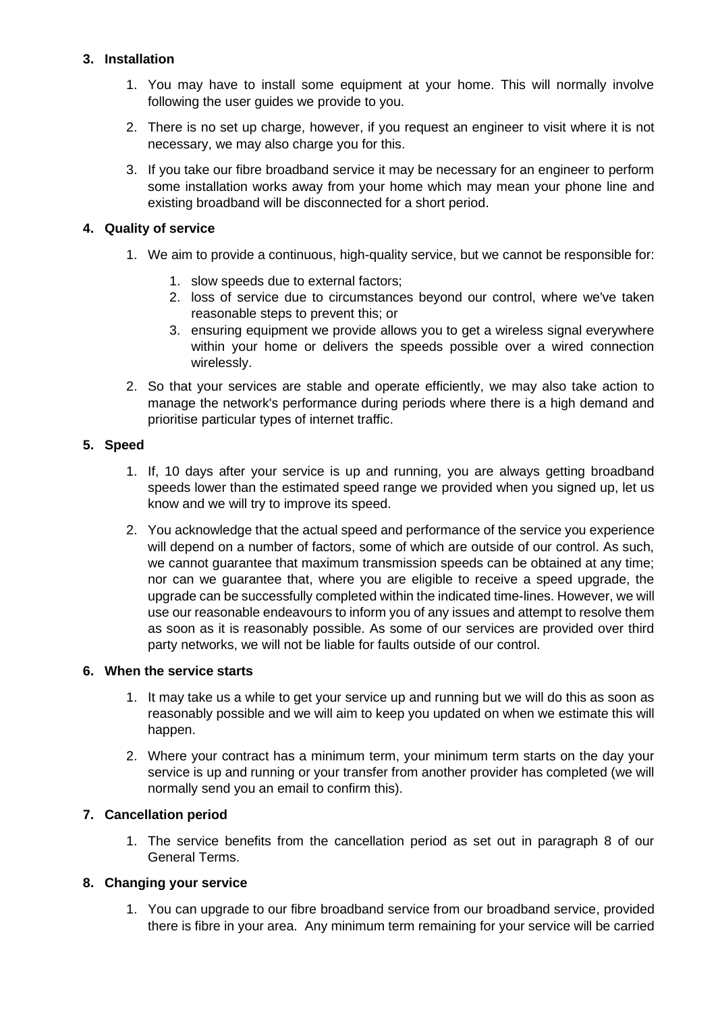## **3. Installation**

- 1. You may have to install some equipment at your home. This will normally involve following the user guides we provide to you.
- 2. There is no set up charge, however, if you request an engineer to visit where it is not necessary, we may also charge you for this.
- 3. If you take our fibre broadband service it may be necessary for an engineer to perform some installation works away from your home which may mean your phone line and existing broadband will be disconnected for a short period.

## **4. Quality of service**

- 1. We aim to provide a continuous, high-quality service, but we cannot be responsible for:
	- 1. slow speeds due to external factors;
	- 2. loss of service due to circumstances beyond our control, where we've taken reasonable steps to prevent this; or
	- 3. ensuring equipment we provide allows you to get a wireless signal everywhere within your home or delivers the speeds possible over a wired connection wirelessly.
- 2. So that your services are stable and operate efficiently, we may also take action to manage the network's performance during periods where there is a high demand and prioritise particular types of internet traffic.

## **5. Speed**

- 1. If, 10 days after your service is up and running, you are always getting broadband speeds lower than the estimated speed range we provided when you signed up, let us know and we will try to improve its speed.
- 2. You acknowledge that the actual speed and performance of the service you experience will depend on a number of factors, some of which are outside of our control. As such, we cannot guarantee that maximum transmission speeds can be obtained at any time; nor can we guarantee that, where you are eligible to receive a speed upgrade, the upgrade can be successfully completed within the indicated time-lines. However, we will use our reasonable endeavours to inform you of any issues and attempt to resolve them as soon as it is reasonably possible. As some of our services are provided over third party networks, we will not be liable for faults outside of our control.

## **6. When the service starts**

- 1. It may take us a while to get your service up and running but we will do this as soon as reasonably possible and we will aim to keep you updated on when we estimate this will happen.
- 2. Where your contract has a minimum term, your minimum term starts on the day your service is up and running or your transfer from another provider has completed (we will normally send you an email to confirm this).

# **7. Cancellation period**

1. The service benefits from the cancellation period as set out in paragraph 8 of our General Terms.

# **8. Changing your service**

1. You can upgrade to our fibre broadband service from our broadband service, provided there is fibre in your area. Any minimum term remaining for your service will be carried